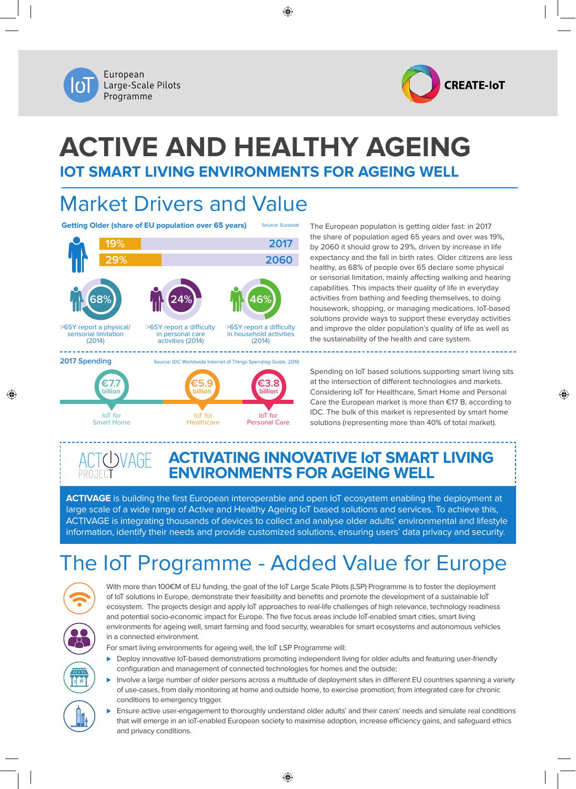



# **Active and Healthy Ageing IoT Smart Living Environments for Ageing Well**

⊕

**2017 2060**

**46%**

>65Y report a difficulty in household activities (2014)

> IoT for Personal Care

**€3.8 billion**

## Market Drivers and Value

IoT for **Healthcare** 

**€5.9 billion**

**Getting Older (share of EU population over 65 years)** Source: Eurostat



IoT for Smart Home

**€7.7 billion**

⊕

The European population is getting older fast: in 2017 the share of population aged 65 years and over was 19%, by 2060 it should grow to 29%, driven by increase in life expectancy and the fall in birth rates. Older citizens are less healthy, as 68% of people over 65 declare some physical or sensorial limitation, mainly affecting walking and hearing capabilities. This impacts their quality of life in everyday activities from bathing and feeding themselves, to doing housework, shopping, or managing medications. IoT-based solutions provide ways to support these everyday activities and improve the older population's quality of life as well as the sustainability of the health and care system.

Spending on IoT based solutions supporting smart living sits at the intersection of different technologies and markets. Considering IoT for Healthcare, Smart Home and Personal Care the European market is more than €17 B, according to IDC. The bulk of this market is represented by smart home solutions (representing more than 40% of total market).

◈

### **ACTivating InnoVative IoT smart living environments for AGEing well**

**ACTIVAGE** is building the first European interoperable and open IoT ecosystem enabling the deployment at large scale of a wide range of Active and Healthy Ageing IoT based solutions and services. To achieve this, ACTIVAGE is integrating thousands of devices to collect and analyse older adults' environmental and lifestyle information, identify their needs and provide customized solutions, ensuring users' data privacy and security.

# The IoT Programme - Added Value for Europe



With more than 100€M of EU funding, the goal of the IoT Large Scale Pilots (LSP) Programme is to foster the deployment of IoT solutions in Europe, demonstrate their feasibility and benefits and promote the development of a sustainable IoT ecosystem. The projects design and apply IoT approaches to real-life challenges of high relevance, technology readiness and potential socio-economic impact for Europe. The five focus areas include IoT-enabled smart cities, smart living environments for ageing well, smart farming and food security, wearables for smart ecosystems and autonomous vehicles in a connected environment.

For smart living environments for ageing well, the IoT LSP Programme will:

- ▶ Deploy innovative IoT-based demonstrations promoting independent living for older adults and featuring user-friendly configuration and management of connected technologies for homes and the outside;
- Involve a large number of older persons across a multitude of deployment sites in different EU countries spanning a variety of use-cases, from daily monitoring at home and outside home, to exercise promotion; from integrated care for chronic conditions to emergency trigger.
- Ensure active user-engagement to thoroughly understand older adults' and their carers' needs and simulate real conditions that will emerge in an ioT-enabled European society to maximise adoption, increase efficiency gains, and safeguard ethics and privacy conditions.

↔